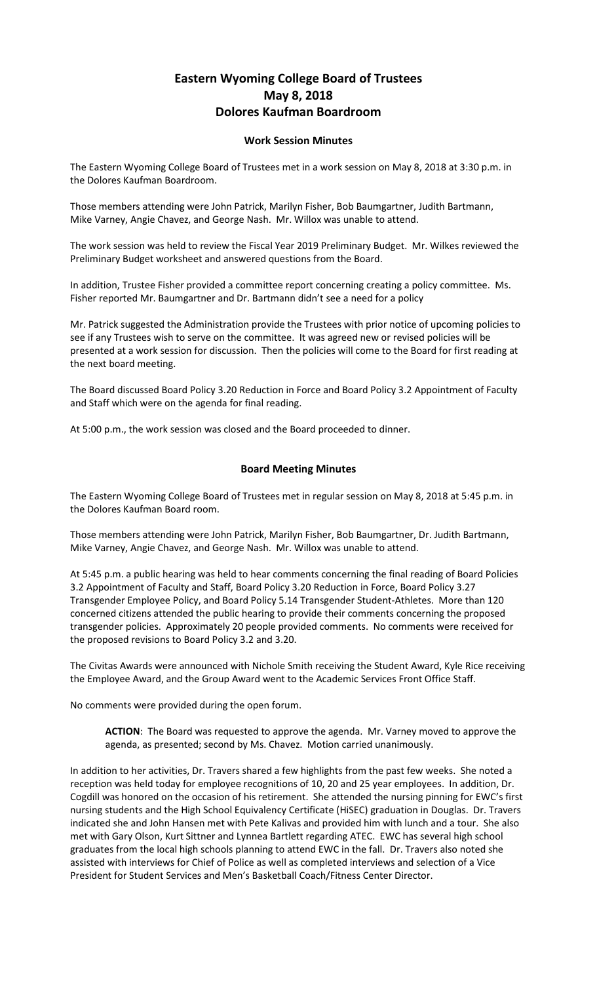## **Eastern Wyoming College Board of Trustees May 8, 2018 Dolores Kaufman Boardroom**

## **Work Session Minutes**

The Eastern Wyoming College Board of Trustees met in a work session on May 8, 2018 at 3:30 p.m. in the Dolores Kaufman Boardroom.

Those members attending were John Patrick, Marilyn Fisher, Bob Baumgartner, Judith Bartmann, Mike Varney, Angie Chavez, and George Nash. Mr. Willox was unable to attend.

The work session was held to review the Fiscal Year 2019 Preliminary Budget. Mr. Wilkes reviewed the Preliminary Budget worksheet and answered questions from the Board.

In addition, Trustee Fisher provided a committee report concerning creating a policy committee. Ms. Fisher reported Mr. Baumgartner and Dr. Bartmann didn't see a need for a policy

Mr. Patrick suggested the Administration provide the Trustees with prior notice of upcoming policies to see if any Trustees wish to serve on the committee. It was agreed new or revised policies will be presented at a work session for discussion. Then the policies will come to the Board for first reading at the next board meeting.

The Board discussed Board Policy 3.20 Reduction in Force and Board Policy 3.2 Appointment of Faculty and Staff which were on the agenda for final reading.

At 5:00 p.m., the work session was closed and the Board proceeded to dinner.

## **Board Meeting Minutes**

The Eastern Wyoming College Board of Trustees met in regular session on May 8, 2018 at 5:45 p.m. in the Dolores Kaufman Board room.

Those members attending were John Patrick, Marilyn Fisher, Bob Baumgartner, Dr. Judith Bartmann, Mike Varney, Angie Chavez, and George Nash. Mr. Willox was unable to attend.

At 5:45 p.m. a public hearing was held to hear comments concerning the final reading of Board Policies 3.2 Appointment of Faculty and Staff, Board Policy 3.20 Reduction in Force, Board Policy 3.27 Transgender Employee Policy, and Board Policy 5.14 Transgender Student-Athletes. More than 120 concerned citizens attended the public hearing to provide their comments concerning the proposed transgender policies. Approximately 20 people provided comments. No comments were received for the proposed revisions to Board Policy 3.2 and 3.20.

The Civitas Awards were announced with Nichole Smith receiving the Student Award, Kyle Rice receiving the Employee Award, and the Group Award went to the Academic Services Front Office Staff.

No comments were provided during the open forum.

**ACTION**: The Board was requested to approve the agenda. Mr. Varney moved to approve the agenda, as presented; second by Ms. Chavez. Motion carried unanimously.

In addition to her activities, Dr. Travers shared a few highlights from the past few weeks. She noted a reception was held today for employee recognitions of 10, 20 and 25 year employees. In addition, Dr. Cogdill was honored on the occasion of his retirement. She attended the nursing pinning for EWC's first nursing students and the High School Equivalency Certificate (HiSEC) graduation in Douglas. Dr. Travers indicated she and John Hansen met with Pete Kalivas and provided him with lunch and a tour. She also met with Gary Olson, Kurt Sittner and Lynnea Bartlett regarding ATEC. EWC has several high school graduates from the local high schools planning to attend EWC in the fall. Dr. Travers also noted she assisted with interviews for Chief of Police as well as completed interviews and selection of a Vice President for Student Services and Men's Basketball Coach/Fitness Center Director.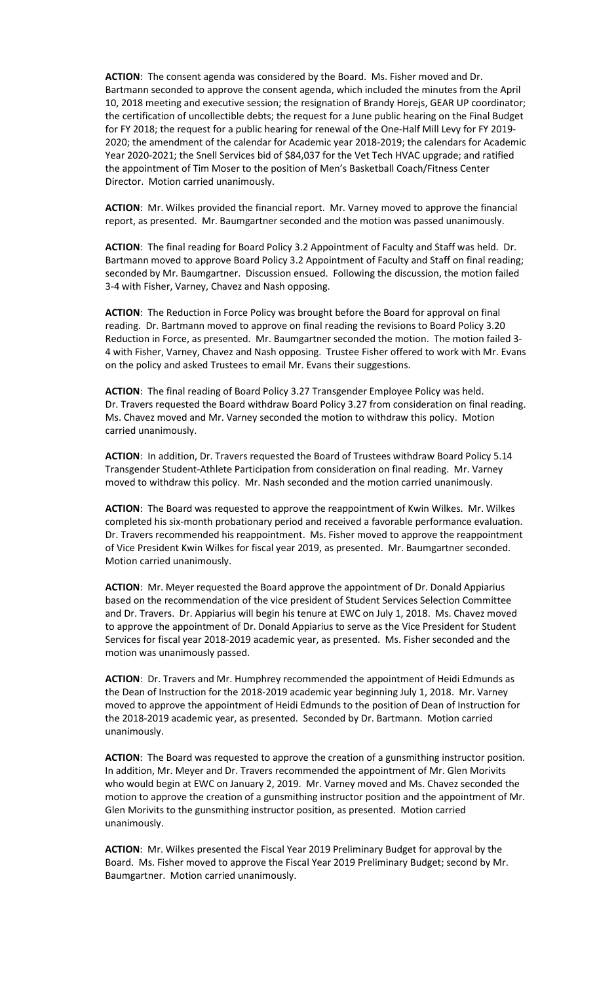**ACTION**: The consent agenda was considered by the Board. Ms. Fisher moved and Dr. Bartmann seconded to approve the consent agenda, which included the minutes from the April 10, 2018 meeting and executive session; the resignation of Brandy Horejs, GEAR UP coordinator; the certification of uncollectible debts; the request for a June public hearing on the Final Budget for FY 2018; the request for a public hearing for renewal of the One-Half Mill Levy for FY 2019- 2020; the amendment of the calendar for Academic year 2018-2019; the calendars for Academic Year 2020-2021; the Snell Services bid of \$84,037 for the Vet Tech HVAC upgrade; and ratified the appointment of Tim Moser to the position of Men's Basketball Coach/Fitness Center Director. Motion carried unanimously.

**ACTION**: Mr. Wilkes provided the financial report. Mr. Varney moved to approve the financial report, as presented. Mr. Baumgartner seconded and the motion was passed unanimously.

**ACTION**: The final reading for Board Policy 3.2 Appointment of Faculty and Staff was held. Dr. Bartmann moved to approve Board Policy 3.2 Appointment of Faculty and Staff on final reading; seconded by Mr. Baumgartner. Discussion ensued. Following the discussion, the motion failed 3-4 with Fisher, Varney, Chavez and Nash opposing.

**ACTION**: The Reduction in Force Policy was brought before the Board for approval on final reading. Dr. Bartmann moved to approve on final reading the revisions to Board Policy 3.20 Reduction in Force, as presented. Mr. Baumgartner seconded the motion. The motion failed 3- 4 with Fisher, Varney, Chavez and Nash opposing. Trustee Fisher offered to work with Mr. Evans on the policy and asked Trustees to email Mr. Evans their suggestions.

**ACTION**: The final reading of Board Policy 3.27 Transgender Employee Policy was held. Dr. Travers requested the Board withdraw Board Policy 3.27 from consideration on final reading. Ms. Chavez moved and Mr. Varney seconded the motion to withdraw this policy. Motion carried unanimously.

**ACTION**: In addition, Dr. Travers requested the Board of Trustees withdraw Board Policy 5.14 Transgender Student-Athlete Participation from consideration on final reading. Mr. Varney moved to withdraw this policy. Mr. Nash seconded and the motion carried unanimously.

**ACTION**: The Board was requested to approve the reappointment of Kwin Wilkes. Mr. Wilkes completed his six-month probationary period and received a favorable performance evaluation. Dr. Travers recommended his reappointment. Ms. Fisher moved to approve the reappointment of Vice President Kwin Wilkes for fiscal year 2019, as presented. Mr. Baumgartner seconded. Motion carried unanimously.

**ACTION**: Mr. Meyer requested the Board approve the appointment of Dr. Donald Appiarius based on the recommendation of the vice president of Student Services Selection Committee and Dr. Travers. Dr. Appiarius will begin his tenure at EWC on July 1, 2018. Ms. Chavez moved to approve the appointment of Dr. Donald Appiarius to serve as the Vice President for Student Services for fiscal year 2018-2019 academic year, as presented. Ms. Fisher seconded and the motion was unanimously passed.

**ACTION**: Dr. Travers and Mr. Humphrey recommended the appointment of Heidi Edmunds as the Dean of Instruction for the 2018-2019 academic year beginning July 1, 2018. Mr. Varney moved to approve the appointment of Heidi Edmunds to the position of Dean of Instruction for the 2018-2019 academic year, as presented. Seconded by Dr. Bartmann. Motion carried unanimously.

**ACTION**: The Board was requested to approve the creation of a gunsmithing instructor position. In addition, Mr. Meyer and Dr. Travers recommended the appointment of Mr. Glen Morivits who would begin at EWC on January 2, 2019. Mr. Varney moved and Ms. Chavez seconded the motion to approve the creation of a gunsmithing instructor position and the appointment of Mr. Glen Morivits to the gunsmithing instructor position, as presented. Motion carried unanimously.

**ACTION**: Mr. Wilkes presented the Fiscal Year 2019 Preliminary Budget for approval by the Board. Ms. Fisher moved to approve the Fiscal Year 2019 Preliminary Budget; second by Mr. Baumgartner. Motion carried unanimously.